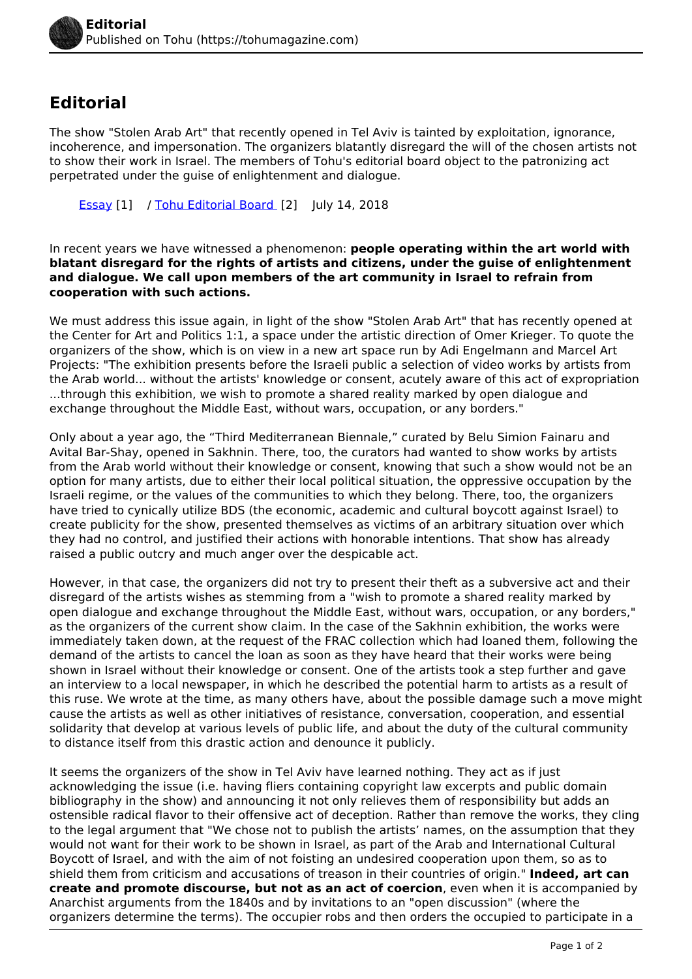## **Editorial**

The show "Stolen Arab Art" that recently opened in Tel Aviv is tainted by exploitation, ignorance, incoherence, and impersonation. The organizers blatantly disregard the will of the chosen artists not to show their work in Israel. The members of Tohu's editorial board object to the patronizing act perpetrated under the guise of enlightenment and dialogue.

[Essay](https://tohumagazine.com/publication-types/essay) [1] / [Tohu Editorial Board](https://tohumagazine.com/profile/tohu-editorial-board) [2] July 14, 2018

In recent years we have witnessed a phenomenon: **people operating within the art world with blatant disregard for the rights of artists and citizens, under the guise of enlightenment and dialogue. We call upon members of the art community in Israel to refrain from cooperation with such actions.**

We must address this issue again, in light of the show "Stolen Arab Art" that has recently opened at the Center for Art and Politics 1:1, a space under the artistic direction of Omer Krieger. To quote the organizers of the show, which is on view in a new art space run by Adi Engelmann and Marcel Art Projects: "The exhibition presents before the Israeli public a selection of video works by artists from the Arab world... without the artists' knowledge or consent, acutely aware of this act of expropriation ...through this exhibition, we wish to promote a shared reality marked by open dialogue and exchange throughout the Middle East, without wars, occupation, or any borders."

Only about a year ago, the "Third Mediterranean Biennale," curated by Belu Simion Fainaru and Avital Bar-Shay, opened in Sakhnin. There, too, the curators had wanted to show works by artists from the Arab world without their knowledge or consent, knowing that such a show would not be an option for many artists, due to either their local political situation, the oppressive occupation by the Israeli regime, or the values of the communities to which they belong. There, too, the organizers have tried to cynically utilize BDS (the economic, academic and cultural boycott against Israel) to create publicity for the show, presented themselves as victims of an arbitrary situation over which they had no control, and justified their actions with honorable intentions. That show has already raised a public outcry and much anger over the despicable act.

However, in that case, the organizers did not try to present their theft as a subversive act and their disregard of the artists wishes as stemming from a "wish to promote a shared reality marked by open dialogue and exchange throughout the Middle East, without wars, occupation, or any borders," as the organizers of the current show claim. In the case of the Sakhnin exhibition, the works were immediately taken down, at the request of the FRAC collection which had loaned them, following the demand of the artists to cancel the loan as soon as they have heard that their works were being shown in Israel without their knowledge or consent. One of the artists took a step further and gave an interview to a local newspaper, in which he described the potential harm to artists as a result of this ruse. We wrote at the time, as many others have, about the possible damage such a move might cause the artists as well as other initiatives of resistance, conversation, cooperation, and essential solidarity that develop at various levels of public life, and about the duty of the cultural community to distance itself from this drastic action and denounce it publicly.

It seems the organizers of the show in Tel Aviv have learned nothing. They act as if just acknowledging the issue (i.e. having fliers containing copyright law excerpts and public domain bibliography in the show) and announcing it not only relieves them of responsibility but adds an ostensible radical flavor to their offensive act of deception. Rather than remove the works, they cling to the legal argument that "We chose not to publish the artists' names, on the assumption that they would not want for their work to be shown in Israel, as part of the Arab and International Cultural Boycott of Israel, and with the aim of not foisting an undesired cooperation upon them, so as to shield them from criticism and accusations of treason in their countries of origin." **Indeed, art can create and promote discourse, but not as an act of coercion**, even when it is accompanied by Anarchist arguments from the 1840s and by invitations to an "open discussion" (where the organizers determine the terms). The occupier robs and then orders the occupied to participate in a